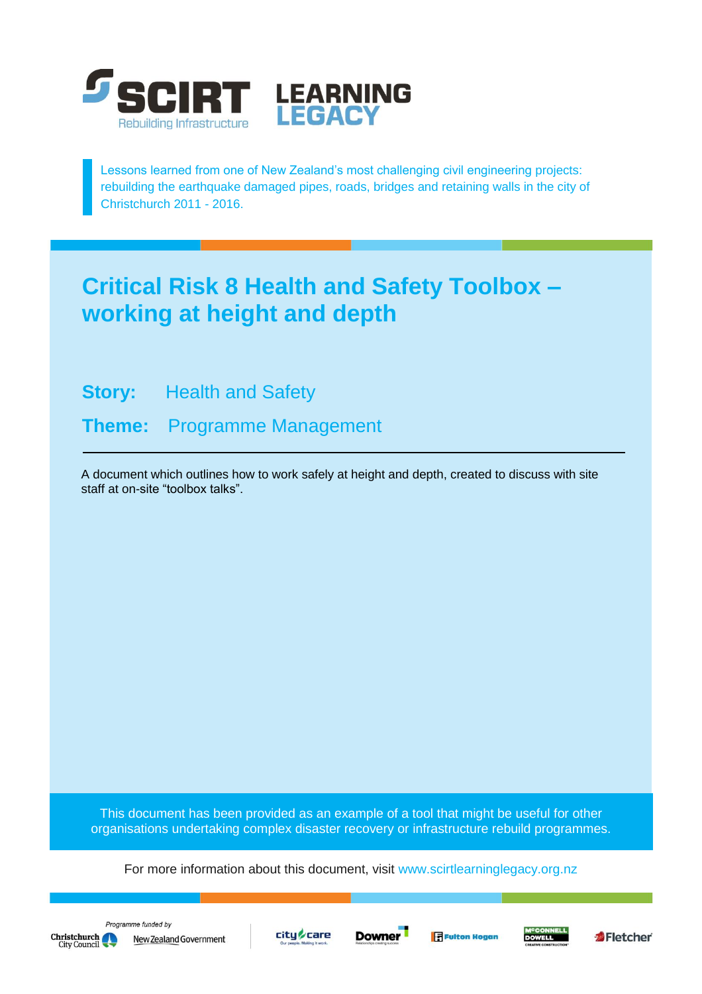

Lessons learned from one of New Zealand's most challenging civil engineering projects: rebuilding the earthquake damaged pipes, roads, bridges and retaining walls in the city of Christchurch 2011 - 2016.

# **Critical Risk 8 Health and Safety Toolbox – working at height and depth**

**Story:** Health and Safety

**Theme:** Programme Management

A document which outlines how to work safely at height and depth, created to discuss with site staff at on-site "toolbox talks".

This document has been provided as an example of a tool that might be useful for other organisations undertaking complex disaster recovery or infrastructure rebuild programmes.

For more information about this document, visit [www.scirtlearninglegacy.org.nz](http://www.scirtlearninglegacy.org.nz/)







**Fulton Hogan** 



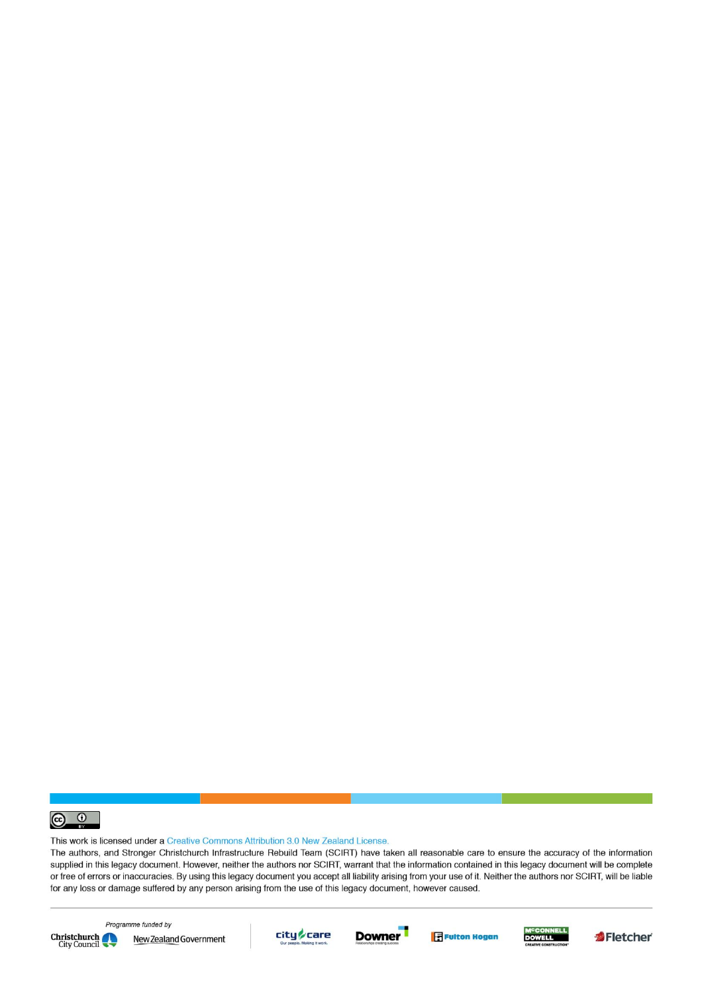

This work is licensed under a Creative Commons Attribution 3.0 New Zealand License.

The authors, and Stronger Christchurch Infrastructure Rebuild Team (SCIRT) have taken all reasonable care to ensure the accuracy of the information supplied in this legacy document. However, neither the authors nor SCIRT, warrant that the information contained in this legacy document will be complete or free of errors or inaccuracies. By using this legacy document you accept all liability arising from your use of it. Neither the authors nor SCIRT, will be liable for any loss or damage suffered by any person arising from the use of this legacy document, however caused.



Programme funded by New Zealand Government